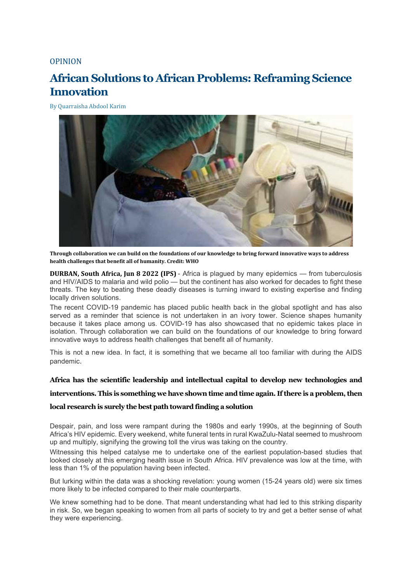## [OPINION](http://www.ipsnews.net/articletype/opinion/)

# **African Solutions to African Problems: Reframing Science Innovation**

By [Quarraisha](https://www.ipsnews.net/author/quarraisha-abdool-karim/) Abdool Karim



**Through collaboration we can build on the foundations of our knowledge to bring forward innovative ways to address health challenges that benefit all of humanity. Credit: WHO**

**DURBAN, South Africa, Jun 8 2022 (IPS)** - Africa is plagued by many epidemics — from tuberculosis and HIV/AIDS to malaria and wild polio — but the continent has also worked for decades to fight these threats. The key to beating these deadly diseases is turning inward to existing expertise and finding locally driven solutions.

The recent COVID-19 pandemic has placed public health back in the global spotlight and has also served as a reminder that science is not undertaken in an ivory tower. Science shapes humanity because it takes place among us. COVID-19 has also showcased that no epidemic takes place in isolation. Through collaboration we can build on the foundations of our knowledge to bring forward innovative ways to address health challenges that benefit all of humanity.

This is not a new idea. In fact, it is something that we became all too familiar with during the AIDS pandemic.

### **Africa has the scientific leadership and intellectual capital to develop new technologies and**

### **interventions. This is something we have shown time and time again. If there is a problem, then**

### **local research is surely the best path toward finding a solution**

Despair, pain, and loss were rampant during the 1980s and early 1990s, at the beginning of South Africa's HIV epidemic. Every weekend, white funeral tents in rural KwaZulu-Natal seemed to mushroom up and multiply, signifying the growing toll the virus was taking on the country.

Witnessing this helped catalyse me to undertake one of the earliest population-based studies that looked closely at this emerging health issue in South Africa. HIV prevalence was low at the time, with less than 1% of the population having been infected.

But lurking within the data was a shocking revelation: young women (15-24 years old) were six times more likely to be infected compared to their male counterparts.

We knew something had to be done. That meant understanding what had led to this striking disparity in risk. So, we began speaking to women from all parts of society to try and get a better sense of what they were experiencing.